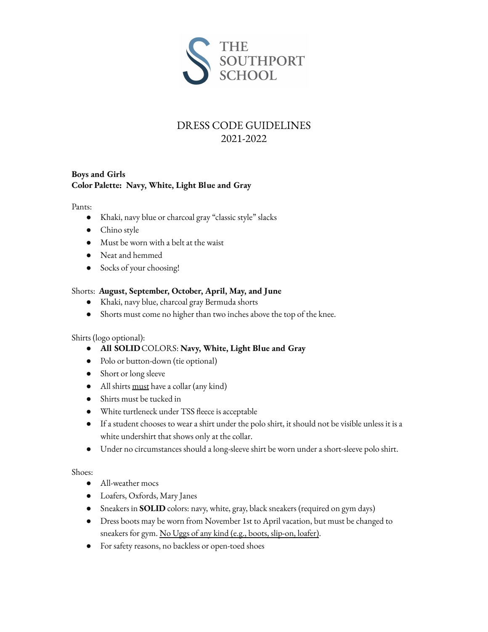

## DRESS CODE GUIDELINES 2021-2022

## **Boys and Girls Color Palette: Navy, White, Light Blue and Gray**

Pants:

- Khaki, navy blue or charcoal gray "classic style" slacks
- Chino style
- Must be worn with a belt at the waist
- Neat and hemmed
- Socks of your choosing!

### Shorts: **August, September, October, April, May, and June**

- Khaki, navy blue, charcoal gray Bermuda shorts
- Shorts must come no higher than two inches above the top of the knee.

### Shirts (logo optional):

- **All SOLID**COLORS: **Navy, White, Light Blue and Gray**
- Polo or button-down (tie optional)
- Short or long sleeve
- All shirts must have a collar (any kind)
- Shirts must be tucked in
- White turtleneck under TSS fleece is acceptable
- If a student chooses to wear a shirt under the polo shirt, it should not be visible unless it is a white undershirt that shows only at the collar.
- Under no circumstances should a long-sleeve shirt be worn under a short-sleeve polo shirt.

### Shoes:

- All-weather mocs
- Loafers, Oxfords, Mary Janes
- Sneakers in **SOLID** colors: navy, white, gray, black sneakers (required on gym days)
- Dress boots may be worn from November 1st to April vacation, but must be changed to sneakers for gym. No Uggs of any kind (e.g., boots, slip-on, loafer).
- For safety reasons, no backless or open-toed shoes